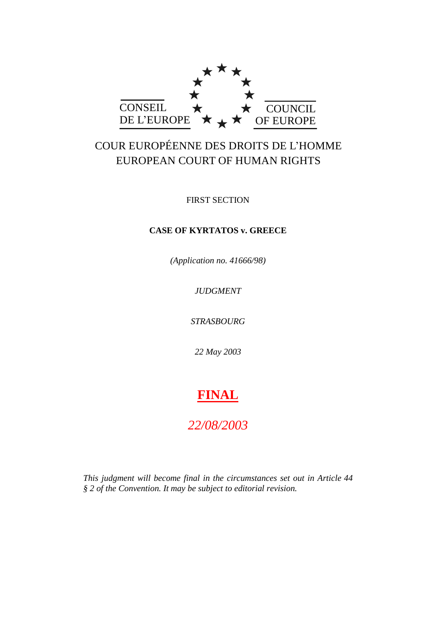

# COUR EUROPÉENNE DES DROITS DE L'HOMME EUROPEAN COURT OF HUMAN RIGHTS

FIRST SECTION

## **CASE OF KYRTATOS v. GREECE**

*(Application no. 41666/98)*

*JUDGMENT*

*STRASBOURG*

*22 May 2003*

# **FINAL**

# *22/08/2003*

*This judgment will become final in the circumstances set out in Article 44 § 2 of the Convention. It may be subject to editorial revision.*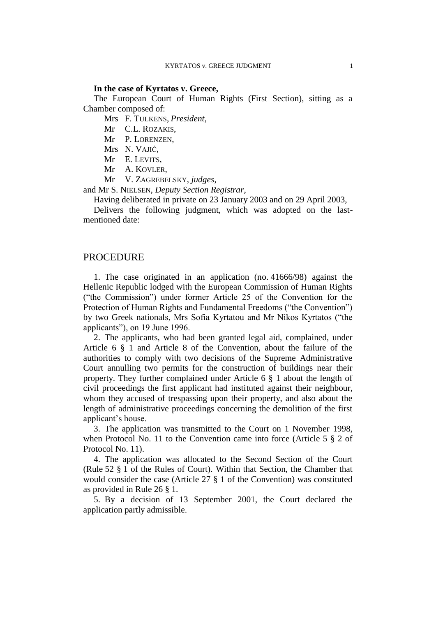#### **In the case of Kyrtatos v. Greece,**

The European Court of Human Rights (First Section), sitting as a Chamber composed of:

Mrs F. TULKENS, *President*,

Mr C.L. ROZAKIS,

Mr P. LORENZEN,

Mrs N. VAJIĆ,

Mr E. LEVITS,

Mr A. KOVLER,

Mr V. ZAGREBELSKY, *judges*,

and Mr S. NIELSEN, *Deputy Section Registrar*,

Having deliberated in private on 23 January 2003 and on 29 April 2003,

Delivers the following judgment, which was adopted on the lastmentioned date:

## **PROCEDURE**

1. The case originated in an application (no. 41666/98) against the Hellenic Republic lodged with the European Commission of Human Rights ("the Commission") under former Article 25 of the Convention for the Protection of Human Rights and Fundamental Freedoms ("the Convention") by two Greek nationals, Mrs Sofia Kyrtatou and Mr Nikos Kyrtatos ("the applicants"), on 19 June 1996.

2. The applicants, who had been granted legal aid, complained, under Article 6 § 1 and Article 8 of the Convention, about the failure of the authorities to comply with two decisions of the Supreme Administrative Court annulling two permits for the construction of buildings near their property. They further complained under Article 6 § 1 about the length of civil proceedings the first applicant had instituted against their neighbour, whom they accused of trespassing upon their property, and also about the length of administrative proceedings concerning the demolition of the first applicant's house.

3. The application was transmitted to the Court on 1 November 1998, when Protocol No. 11 to the Convention came into force (Article 5 § 2 of Protocol No. 11).

4. The application was allocated to the Second Section of the Court (Rule 52 § 1 of the Rules of Court). Within that Section, the Chamber that would consider the case (Article 27 § 1 of the Convention) was constituted as provided in Rule 26 § 1.

5. By a decision of 13 September 2001, the Court declared the application partly admissible.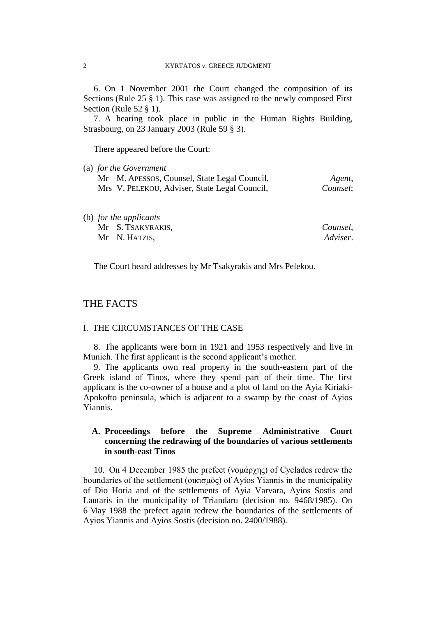6. On 1 November 2001 the Court changed the composition of its Sections (Rule 25 § 1). This case was assigned to the newly composed First Section (Rule 52 § 1).

7. A hearing took place in public in the Human Rights Building, Strasbourg, on 23 January 2003 (Rule 59 § 3).

There appeared before the Court:

| Agent,   |
|----------|
| Counsel; |
|          |
|          |

| (b) for the applicants |          |
|------------------------|----------|
| Mr S. TSAKYRAKIS,      | Counsel, |
| Mr N. HATZIS,          | Adviser. |

The Court heard addresses by Mr Tsakyrakis and Mrs Pelekou.

## THE FACTS

#### I. THE CIRCUMSTANCES OF THE CASE

8. The applicants were born in 1921 and 1953 respectively and live in Munich. The first applicant is the second applicant's mother.

9. The applicants own real property in the south-eastern part of the Greek island of Tinos, where they spend part of their time. The first applicant is the co-owner of a house and a plot of land on the Ayia Kiriaki-Apokofto peninsula, which is adjacent to a swamp by the coast of Ayios Yiannis.

## **A. Proceedings before the Supreme Administrative Court concerning the redrawing of the boundaries of various settlements in south-east Tinos**

10. On 4 December 1985 the prefect (νομάρχης) of Cyclades redrew the boundaries of the settlement (οικισμός) of Ayios Yiannis in the municipality of Dio Horia and of the settlements of Ayia Varvara, Ayios Sostis and Lautaris in the municipality of Triandaru (decision no. 9468/1985). On 6 May 1988 the prefect again redrew the boundaries of the settlements of Ayios Yiannis and Ayios Sostis (decision no. 2400/1988).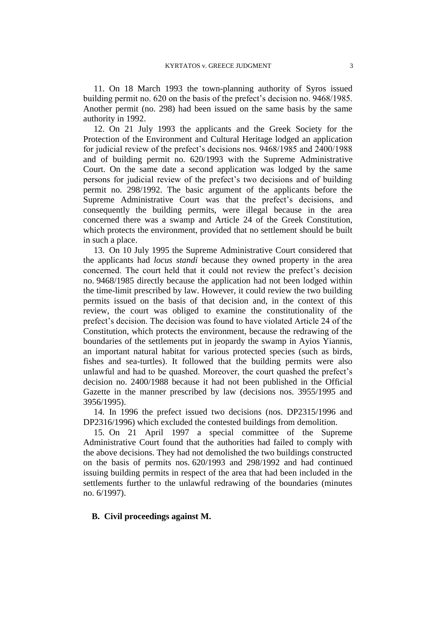11. On 18 March 1993 the town-planning authority of Syros issued building permit no. 620 on the basis of the prefect's decision no. 9468/1985. Another permit (no. 298) had been issued on the same basis by the same authority in 1992.

12. On 21 July 1993 the applicants and the Greek Society for the Protection of the Environment and Cultural Heritage lodged an application for judicial review of the prefect's decisions nos. 9468/1985 and 2400/1988 and of building permit no. 620/1993 with the Supreme Administrative Court. On the same date a second application was lodged by the same persons for judicial review of the prefect's two decisions and of building permit no. 298/1992. The basic argument of the applicants before the Supreme Administrative Court was that the prefect's decisions, and consequently the building permits, were illegal because in the area concerned there was a swamp and Article 24 of the Greek Constitution, which protects the environment, provided that no settlement should be built in such a place.

13. On 10 July 1995 the Supreme Administrative Court considered that the applicants had *locus standi* because they owned property in the area concerned. The court held that it could not review the prefect's decision no. 9468/1985 directly because the application had not been lodged within the time-limit prescribed by law. However, it could review the two building permits issued on the basis of that decision and, in the context of this review, the court was obliged to examine the constitutionality of the prefect's decision. The decision was found to have violated Article 24 of the Constitution, which protects the environment, because the redrawing of the boundaries of the settlements put in jeopardy the swamp in Ayios Yiannis, an important natural habitat for various protected species (such as birds, fishes and sea-turtles). It followed that the building permits were also unlawful and had to be quashed. Moreover, the court quashed the prefect's decision no. 2400/1988 because it had not been published in the Official Gazette in the manner prescribed by law (decisions nos. 3955/1995 and 3956/1995).

14. In 1996 the prefect issued two decisions (nos. DP2315/1996 and DP2316/1996) which excluded the contested buildings from demolition.

15. On 21 April 1997 a special committee of the Supreme Administrative Court found that the authorities had failed to comply with the above decisions. They had not demolished the two buildings constructed on the basis of permits nos. 620/1993 and 298/1992 and had continued issuing building permits in respect of the area that had been included in the settlements further to the unlawful redrawing of the boundaries (minutes no. 6/1997).

## **B. Civil proceedings against M.**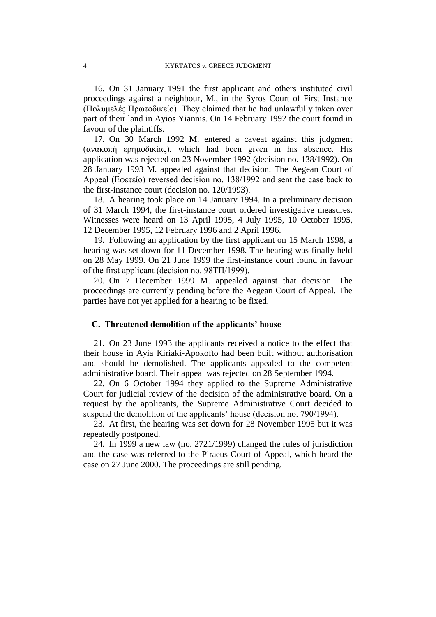16. On 31 January 1991 the first applicant and others instituted civil proceedings against a neighbour, M., in the Syros Court of First Instance (Πολυμελές Πρωτοδικείο). They claimed that he had unlawfully taken over part of their land in Ayios Yiannis. On 14 February 1992 the court found in favour of the plaintiffs.

17. On 30 March 1992 M. entered a caveat against this judgment (ανακοπή ερημοδικίας), which had been given in his absence. His application was rejected on 23 November 1992 (decision no. 138/1992). On 28 January 1993 M. appealed against that decision. The Aegean Court of Appeal (Εφετείο) reversed decision no. 138/1992 and sent the case back to the first-instance court (decision no. 120/1993).

18. A hearing took place on 14 January 1994. In a preliminary decision of 31 March 1994, the first-instance court ordered investigative measures. Witnesses were heard on 13 April 1995, 4 July 1995, 10 October 1995, 12 December 1995, 12 February 1996 and 2 April 1996.

19. Following an application by the first applicant on 15 March 1998, a hearing was set down for 11 December 1998. The hearing was finally held on 28 May 1999. On 21 June 1999 the first-instance court found in favour of the first applicant (decision no. 98ΤΠ/1999).

20. On 7 December 1999 M. appealed against that decision. The proceedings are currently pending before the Aegean Court of Appeal. The parties have not yet applied for a hearing to be fixed.

## **C. Threatened demolition of the applicants' house**

21. On 23 June 1993 the applicants received a notice to the effect that their house in Ayia Kiriaki-Apokofto had been built without authorisation and should be demolished. The applicants appealed to the competent administrative board. Their appeal was rejected on 28 September 1994.

22. On 6 October 1994 they applied to the Supreme Administrative Court for judicial review of the decision of the administrative board. On a request by the applicants, the Supreme Administrative Court decided to suspend the demolition of the applicants' house (decision no. 790/1994).

23. At first, the hearing was set down for 28 November 1995 but it was repeatedly postponed.

24. In 1999 a new law (no. 2721/1999) changed the rules of jurisdiction and the case was referred to the Piraeus Court of Appeal, which heard the case on 27 June 2000. The proceedings are still pending.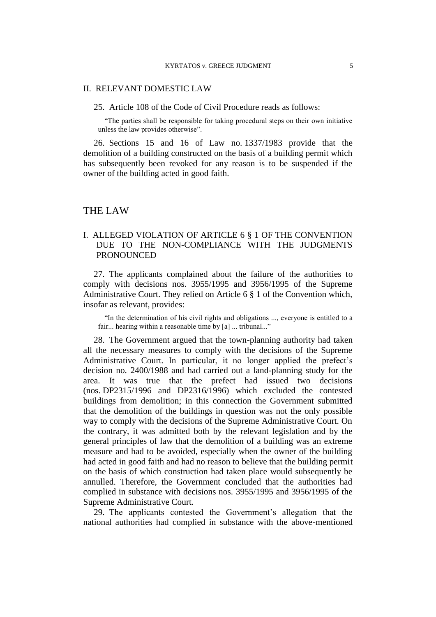#### II. RELEVANT DOMESTIC LAW

25. Article 108 of the Code of Civil Procedure reads as follows:

"The parties shall be responsible for taking procedural steps on their own initiative unless the law provides otherwise".

26. Sections 15 and 16 of Law no. 1337/1983 provide that the demolition of a building constructed on the basis of a building permit which has subsequently been revoked for any reason is to be suspended if the owner of the building acted in good faith.

## THE LAW

## I. ALLEGED VIOLATION OF ARTICLE 6 § 1 OF THE CONVENTION DUE TO THE NON-COMPLIANCE WITH THE JUDGMENTS **PRONOUNCED**

27. The applicants complained about the failure of the authorities to comply with decisions nos. 3955/1995 and 3956/1995 of the Supreme Administrative Court. They relied on Article 6 § 1 of the Convention which, insofar as relevant, provides:

"In the determination of his civil rights and obligations ..., everyone is entitled to a fair... hearing within a reasonable time by [a] ... tribunal..."

28. The Government argued that the town-planning authority had taken all the necessary measures to comply with the decisions of the Supreme Administrative Court. In particular, it no longer applied the prefect's decision no. 2400/1988 and had carried out a land-planning study for the area. It was true that the prefect had issued two decisions (nos. DP2315/1996 and DP2316/1996) which excluded the contested buildings from demolition; in this connection the Government submitted that the demolition of the buildings in question was not the only possible way to comply with the decisions of the Supreme Administrative Court. On the contrary, it was admitted both by the relevant legislation and by the general principles of law that the demolition of a building was an extreme measure and had to be avoided, especially when the owner of the building had acted in good faith and had no reason to believe that the building permit on the basis of which construction had taken place would subsequently be annulled. Therefore, the Government concluded that the authorities had complied in substance with decisions nos. 3955/1995 and 3956/1995 of the Supreme Administrative Court.

29. The applicants contested the Government's allegation that the national authorities had complied in substance with the above-mentioned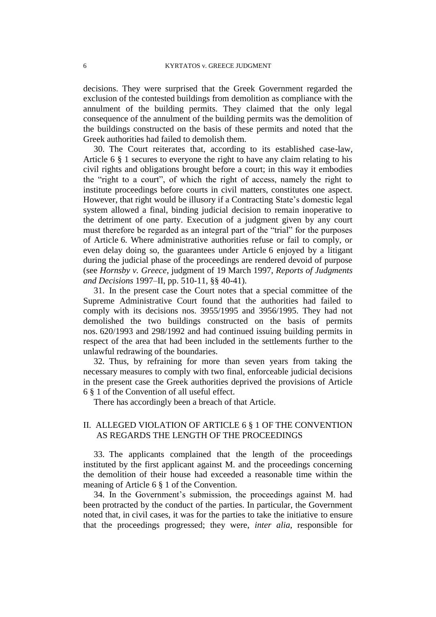decisions. They were surprised that the Greek Government regarded the exclusion of the contested buildings from demolition as compliance with the annulment of the building permits. They claimed that the only legal consequence of the annulment of the building permits was the demolition of the buildings constructed on the basis of these permits and noted that the Greek authorities had failed to demolish them.

30. The Court reiterates that, according to its established case-law, Article 6 § 1 secures to everyone the right to have any claim relating to his civil rights and obligations brought before a court; in this way it embodies the "right to a court", of which the right of access, namely the right to institute proceedings before courts in civil matters, constitutes one aspect. However, that right would be illusory if a Contracting State's domestic legal system allowed a final, binding judicial decision to remain inoperative to the detriment of one party. Execution of a judgment given by any court must therefore be regarded as an integral part of the "trial" for the purposes of Article 6. Where administrative authorities refuse or fail to comply, or even delay doing so, the guarantees under Article 6 enjoyed by a litigant during the judicial phase of the proceedings are rendered devoid of purpose (see *Hornsby v. Greece*, judgment of 19 March 1997, *Reports of Judgments and Decisions* 1997–II, pp. 510-11, §§ 40-41).

31. In the present case the Court notes that a special committee of the Supreme Administrative Court found that the authorities had failed to comply with its decisions nos. 3955/1995 and 3956/1995. They had not demolished the two buildings constructed on the basis of permits nos. 620/1993 and 298/1992 and had continued issuing building permits in respect of the area that had been included in the settlements further to the unlawful redrawing of the boundaries.

32. Thus, by refraining for more than seven years from taking the necessary measures to comply with two final, enforceable judicial decisions in the present case the Greek authorities deprived the provisions of Article 6 § 1 of the Convention of all useful effect.

There has accordingly been a breach of that Article.

## II. ALLEGED VIOLATION OF ARTICLE 6 § 1 OF THE CONVENTION AS REGARDS THE LENGTH OF THE PROCEEDINGS

33. The applicants complained that the length of the proceedings instituted by the first applicant against M. and the proceedings concerning the demolition of their house had exceeded a reasonable time within the meaning of Article 6 § 1 of the Convention.

34. In the Government's submission, the proceedings against M. had been protracted by the conduct of the parties. In particular, the Government noted that, in civil cases, it was for the parties to take the initiative to ensure that the proceedings progressed; they were, *inter alia*, responsible for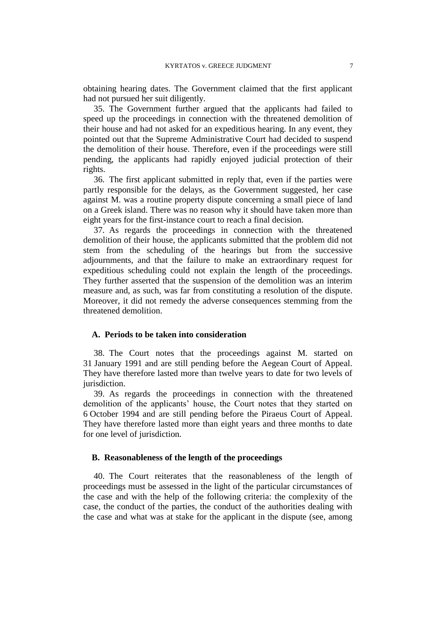obtaining hearing dates. The Government claimed that the first applicant had not pursued her suit diligently.

35. The Government further argued that the applicants had failed to speed up the proceedings in connection with the threatened demolition of their house and had not asked for an expeditious hearing. In any event, they pointed out that the Supreme Administrative Court had decided to suspend the demolition of their house. Therefore, even if the proceedings were still pending, the applicants had rapidly enjoyed judicial protection of their rights.

36. The first applicant submitted in reply that, even if the parties were partly responsible for the delays, as the Government suggested, her case against M. was a routine property dispute concerning a small piece of land on a Greek island. There was no reason why it should have taken more than eight years for the first-instance court to reach a final decision.

37. As regards the proceedings in connection with the threatened demolition of their house, the applicants submitted that the problem did not stem from the scheduling of the hearings but from the successive adjournments, and that the failure to make an extraordinary request for expeditious scheduling could not explain the length of the proceedings. They further asserted that the suspension of the demolition was an interim measure and, as such, was far from constituting a resolution of the dispute. Moreover, it did not remedy the adverse consequences stemming from the threatened demolition.

## **A. Periods to be taken into consideration**

38. The Court notes that the proceedings against M. started on 31 January 1991 and are still pending before the Aegean Court of Appeal. They have therefore lasted more than twelve years to date for two levels of jurisdiction.

39. As regards the proceedings in connection with the threatened demolition of the applicants' house, the Court notes that they started on 6 October 1994 and are still pending before the Piraeus Court of Appeal. They have therefore lasted more than eight years and three months to date for one level of jurisdiction.

## **B. Reasonableness of the length of the proceedings**

40. The Court reiterates that the reasonableness of the length of proceedings must be assessed in the light of the particular circumstances of the case and with the help of the following criteria: the complexity of the case, the conduct of the parties, the conduct of the authorities dealing with the case and what was at stake for the applicant in the dispute (see, among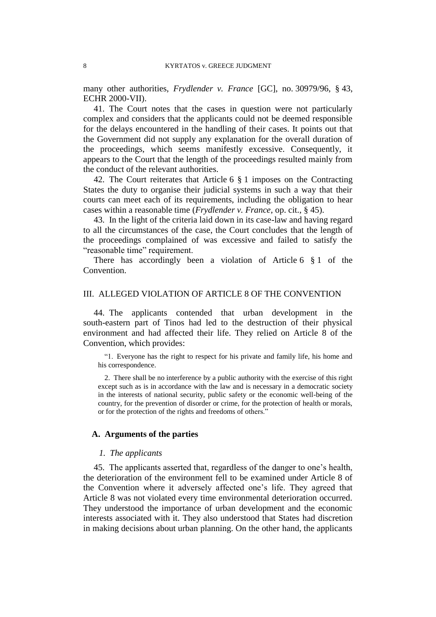many other authorities, *Frydlender v. France* [GC], no. 30979/96, § 43, ECHR 2000-VII).

41. The Court notes that the cases in question were not particularly complex and considers that the applicants could not be deemed responsible for the delays encountered in the handling of their cases. It points out that the Government did not supply any explanation for the overall duration of the proceedings, which seems manifestly excessive. Consequently, it appears to the Court that the length of the proceedings resulted mainly from the conduct of the relevant authorities.

42. The Court reiterates that Article 6 § 1 imposes on the Contracting States the duty to organise their judicial systems in such a way that their courts can meet each of its requirements, including the obligation to hear cases within a reasonable time (*Frydlender v. France*, op. cit., § 45).

43. In the light of the criteria laid down in its case-law and having regard to all the circumstances of the case, the Court concludes that the length of the proceedings complained of was excessive and failed to satisfy the "reasonable time" requirement.

There has accordingly been a violation of Article 6 § 1 of the Convention.

## III. ALLEGED VIOLATION OF ARTICLE 8 OF THE CONVENTION

44. The applicants contended that urban development in the south-eastern part of Tinos had led to the destruction of their physical environment and had affected their life. They relied on Article 8 of the Convention, which provides:

"1. Everyone has the right to respect for his private and family life, his home and his correspondence.

2. There shall be no interference by a public authority with the exercise of this right except such as is in accordance with the law and is necessary in a democratic society in the interests of national security, public safety or the economic well-being of the country, for the prevention of disorder or crime, for the protection of health or morals, or for the protection of the rights and freedoms of others."

#### **A. Arguments of the parties**

## *1. The applicants*

45. The applicants asserted that, regardless of the danger to one's health, the deterioration of the environment fell to be examined under Article 8 of the Convention where it adversely affected one's life. They agreed that Article 8 was not violated every time environmental deterioration occurred. They understood the importance of urban development and the economic interests associated with it. They also understood that States had discretion in making decisions about urban planning. On the other hand, the applicants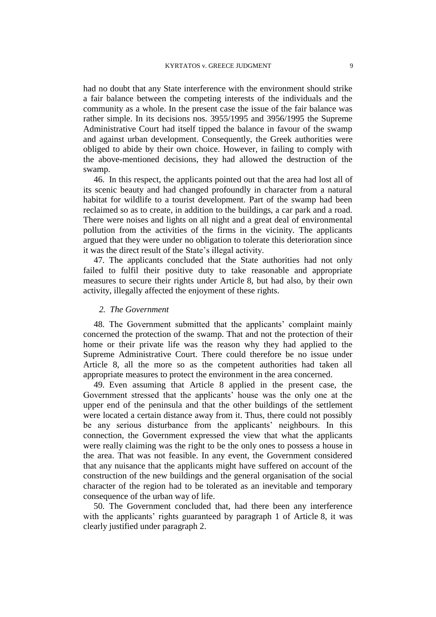had no doubt that any State interference with the environment should strike a fair balance between the competing interests of the individuals and the community as a whole. In the present case the issue of the fair balance was rather simple. In its decisions nos. 3955/1995 and 3956/1995 the Supreme Administrative Court had itself tipped the balance in favour of the swamp and against urban development. Consequently, the Greek authorities were obliged to abide by their own choice. However, in failing to comply with the above-mentioned decisions, they had allowed the destruction of the swamp.

46. In this respect, the applicants pointed out that the area had lost all of its scenic beauty and had changed profoundly in character from a natural habitat for wildlife to a tourist development. Part of the swamp had been reclaimed so as to create, in addition to the buildings, a car park and a road. There were noises and lights on all night and a great deal of environmental pollution from the activities of the firms in the vicinity. The applicants argued that they were under no obligation to tolerate this deterioration since it was the direct result of the State's illegal activity.

47. The applicants concluded that the State authorities had not only failed to fulfil their positive duty to take reasonable and appropriate measures to secure their rights under Article 8, but had also, by their own activity, illegally affected the enjoyment of these rights.

## *2. The Government*

48. The Government submitted that the applicants' complaint mainly concerned the protection of the swamp. That and not the protection of their home or their private life was the reason why they had applied to the Supreme Administrative Court. There could therefore be no issue under Article 8, all the more so as the competent authorities had taken all appropriate measures to protect the environment in the area concerned.

49. Even assuming that Article 8 applied in the present case, the Government stressed that the applicants' house was the only one at the upper end of the peninsula and that the other buildings of the settlement were located a certain distance away from it. Thus, there could not possibly be any serious disturbance from the applicants' neighbours. In this connection, the Government expressed the view that what the applicants were really claiming was the right to be the only ones to possess a house in the area. That was not feasible. In any event, the Government considered that any nuisance that the applicants might have suffered on account of the construction of the new buildings and the general organisation of the social character of the region had to be tolerated as an inevitable and temporary consequence of the urban way of life.

50. The Government concluded that, had there been any interference with the applicants' rights guaranteed by paragraph 1 of Article 8, it was clearly justified under paragraph 2.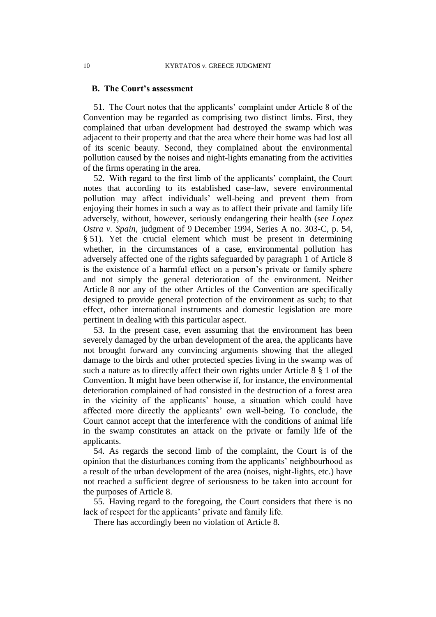### **B. The Court's assessment**

51. The Court notes that the applicants' complaint under Article 8 of the Convention may be regarded as comprising two distinct limbs. First, they complained that urban development had destroyed the swamp which was adjacent to their property and that the area where their home was had lost all of its scenic beauty. Second, they complained about the environmental pollution caused by the noises and night-lights emanating from the activities of the firms operating in the area.

52. With regard to the first limb of the applicants' complaint, the Court notes that according to its established case-law, severe environmental pollution may affect individuals' well-being and prevent them from enjoying their homes in such a way as to affect their private and family life adversely, without, however, seriously endangering their health (see *Lopez Ostra v. Spain*, judgment of 9 December 1994, Series A no. 303-C, p. 54, § 51). Yet the crucial element which must be present in determining whether, in the circumstances of a case, environmental pollution has adversely affected one of the rights safeguarded by paragraph 1 of Article 8 is the existence of a harmful effect on a person's private or family sphere and not simply the general deterioration of the environment. Neither Article 8 nor any of the other Articles of the Convention are specifically designed to provide general protection of the environment as such; to that effect, other international instruments and domestic legislation are more pertinent in dealing with this particular aspect.

53. In the present case, even assuming that the environment has been severely damaged by the urban development of the area, the applicants have not brought forward any convincing arguments showing that the alleged damage to the birds and other protected species living in the swamp was of such a nature as to directly affect their own rights under Article 8 § 1 of the Convention. It might have been otherwise if, for instance, the environmental deterioration complained of had consisted in the destruction of a forest area in the vicinity of the applicants' house, a situation which could have affected more directly the applicants' own well-being. To conclude, the Court cannot accept that the interference with the conditions of animal life in the swamp constitutes an attack on the private or family life of the applicants.

54. As regards the second limb of the complaint, the Court is of the opinion that the disturbances coming from the applicants' neighbourhood as a result of the urban development of the area (noises, night-lights, etc.) have not reached a sufficient degree of seriousness to be taken into account for the purposes of Article 8.

55. Having regard to the foregoing, the Court considers that there is no lack of respect for the applicants' private and family life.

There has accordingly been no violation of Article 8.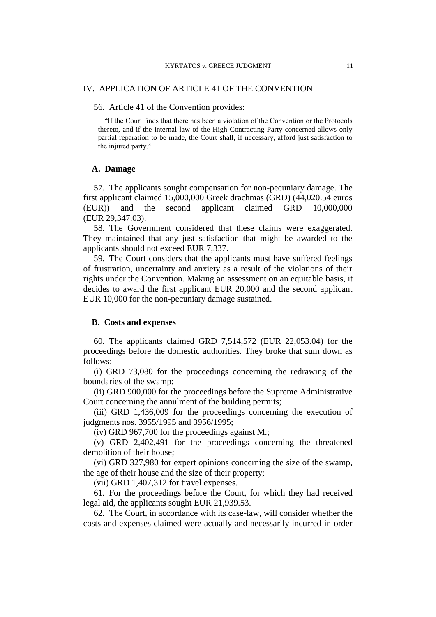## IV. APPLICATION OF ARTICLE 41 OF THE CONVENTION

56. Article 41 of the Convention provides:

"If the Court finds that there has been a violation of the Convention or the Protocols thereto, and if the internal law of the High Contracting Party concerned allows only partial reparation to be made, the Court shall, if necessary, afford just satisfaction to the injured party."

## **A. Damage**

57. The applicants sought compensation for non-pecuniary damage. The first applicant claimed 15,000,000 Greek drachmas (GRD) (44,020.54 euros (EUR)) and the second applicant claimed GRD 10,000,000 (EUR 29,347.03).

58. The Government considered that these claims were exaggerated. They maintained that any just satisfaction that might be awarded to the applicants should not exceed EUR 7,337.

59. The Court considers that the applicants must have suffered feelings of frustration, uncertainty and anxiety as a result of the violations of their rights under the Convention. Making an assessment on an equitable basis, it decides to award the first applicant EUR 20,000 and the second applicant EUR 10,000 for the non-pecuniary damage sustained.

#### **B. Costs and expenses**

60. The applicants claimed GRD 7,514,572 (EUR 22,053.04) for the proceedings before the domestic authorities. They broke that sum down as follows:

(i) GRD 73,080 for the proceedings concerning the redrawing of the boundaries of the swamp;

(ii) GRD 900,000 for the proceedings before the Supreme Administrative Court concerning the annulment of the building permits;

(iii) GRD 1,436,009 for the proceedings concerning the execution of judgments nos. 3955/1995 and 3956/1995;

(iv) GRD 967,700 for the proceedings against M.;

(v) GRD 2,402,491 for the proceedings concerning the threatened demolition of their house;

(vi) GRD 327,980 for expert opinions concerning the size of the swamp, the age of their house and the size of their property;

(vii) GRD 1,407,312 for travel expenses.

61. For the proceedings before the Court, for which they had received legal aid, the applicants sought EUR 21,939.53.

62. The Court, in accordance with its case-law, will consider whether the costs and expenses claimed were actually and necessarily incurred in order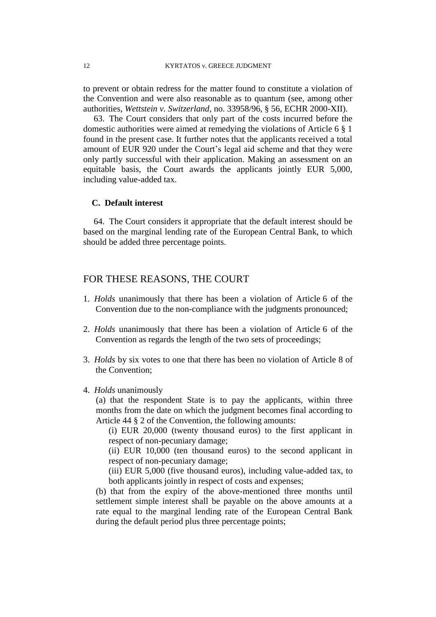to prevent or obtain redress for the matter found to constitute a violation of the Convention and were also reasonable as to quantum (see, among other authorities, *Wettstein v. Switzerland*, no. 33958/96, § 56, ECHR 2000-XII).

63. The Court considers that only part of the costs incurred before the domestic authorities were aimed at remedying the violations of Article 6 § 1 found in the present case. It further notes that the applicants received a total amount of EUR 920 under the Court's legal aid scheme and that they were only partly successful with their application. Making an assessment on an equitable basis, the Court awards the applicants jointly EUR 5,000, including value-added tax.

## **C. Default interest**

64. The Court considers it appropriate that the default interest should be based on the marginal lending rate of the European Central Bank, to which should be added three percentage points.

## FOR THESE REASONS, THE COURT

- 1. *Holds* unanimously that there has been a violation of Article 6 of the Convention due to the non-compliance with the judgments pronounced;
- 2. *Holds* unanimously that there has been a violation of Article 6 of the Convention as regards the length of the two sets of proceedings;
- 3. *Holds* by six votes to one that there has been no violation of Article 8 of the Convention;
- 4. *Holds* unanimously

(a) that the respondent State is to pay the applicants, within three months from the date on which the judgment becomes final according to Article 44 § 2 of the Convention, the following amounts:

(i) EUR 20,000 (twenty thousand euros) to the first applicant in respect of non-pecuniary damage;

(ii) EUR 10,000 (ten thousand euros) to the second applicant in respect of non-pecuniary damage;

(iii) EUR 5,000 (five thousand euros), including value-added tax, to both applicants jointly in respect of costs and expenses;

(b) that from the expiry of the above-mentioned three months until settlement simple interest shall be payable on the above amounts at a rate equal to the marginal lending rate of the European Central Bank during the default period plus three percentage points;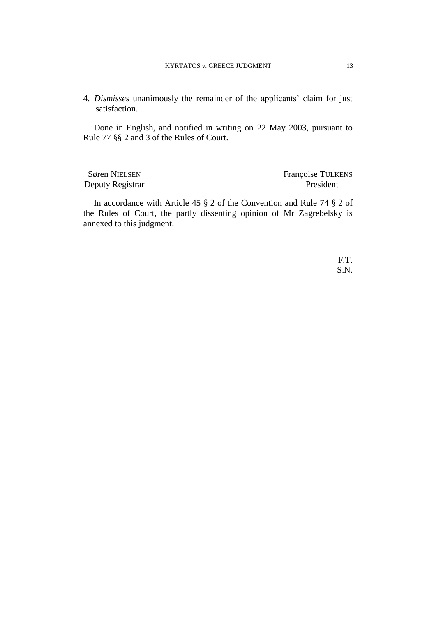4. *Dismisses* unanimously the remainder of the applicants' claim for just satisfaction.

Done in English, and notified in writing on 22 May 2003, pursuant to Rule 77 §§ 2 and 3 of the Rules of Court.

Deputy Registrar President

Søren NIELSEN Françoise TULKENS

In accordance with Article 45 § 2 of the Convention and Rule 74 § 2 of the Rules of Court, the partly dissenting opinion of Mr Zagrebelsky is annexed to this judgment.

> F.T. S.N.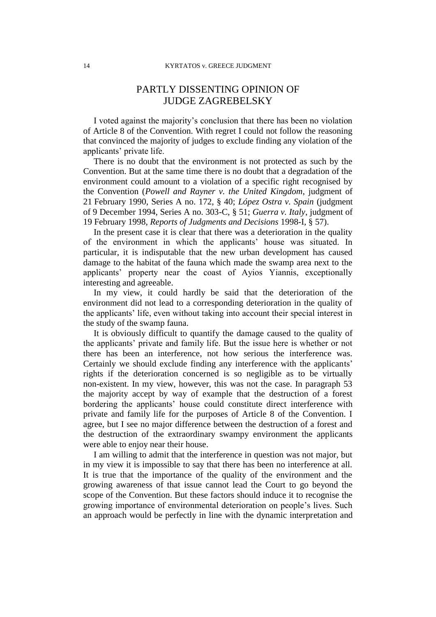## PARTLY DISSENTING OPINION OF JUDGE ZAGREBELSKY

I voted against the majority's conclusion that there has been no violation of Article 8 of the Convention. With regret I could not follow the reasoning that convinced the majority of judges to exclude finding any violation of the applicants' private life.

There is no doubt that the environment is not protected as such by the Convention. But at the same time there is no doubt that a degradation of the environment could amount to a violation of a specific right recognised by the Convention (*Powell and Rayner v. the United Kingdom*, judgment of 21 February 1990, Series A no. 172, § 40; *López Ostra v. Spain* (judgment of 9 December 1994, Series A no. 303-C, § 51; *Guerra v. Italy*, judgment of 19 February 1998, *Reports of Judgments and Decisions* 1998-I, § 57).

In the present case it is clear that there was a deterioration in the quality of the environment in which the applicants' house was situated. In particular, it is indisputable that the new urban development has caused damage to the habitat of the fauna which made the swamp area next to the applicants' property near the coast of Ayios Yiannis, exceptionally interesting and agreeable.

In my view, it could hardly be said that the deterioration of the environment did not lead to a corresponding deterioration in the quality of the applicants' life, even without taking into account their special interest in the study of the swamp fauna.

It is obviously difficult to quantify the damage caused to the quality of the applicants' private and family life. But the issue here is whether or not there has been an interference, not how serious the interference was. Certainly we should exclude finding any interference with the applicants' rights if the deterioration concerned is so negligible as to be virtually non-existent. In my view, however, this was not the case. In paragraph 53 the majority accept by way of example that the destruction of a forest bordering the applicants' house could constitute direct interference with private and family life for the purposes of Article 8 of the Convention. I agree, but I see no major difference between the destruction of a forest and the destruction of the extraordinary swampy environment the applicants were able to enjoy near their house.

I am willing to admit that the interference in question was not major, but in my view it is impossible to say that there has been no interference at all. It is true that the importance of the quality of the environment and the growing awareness of that issue cannot lead the Court to go beyond the scope of the Convention. But these factors should induce it to recognise the growing importance of environmental deterioration on people's lives. Such an approach would be perfectly in line with the dynamic interpretation and